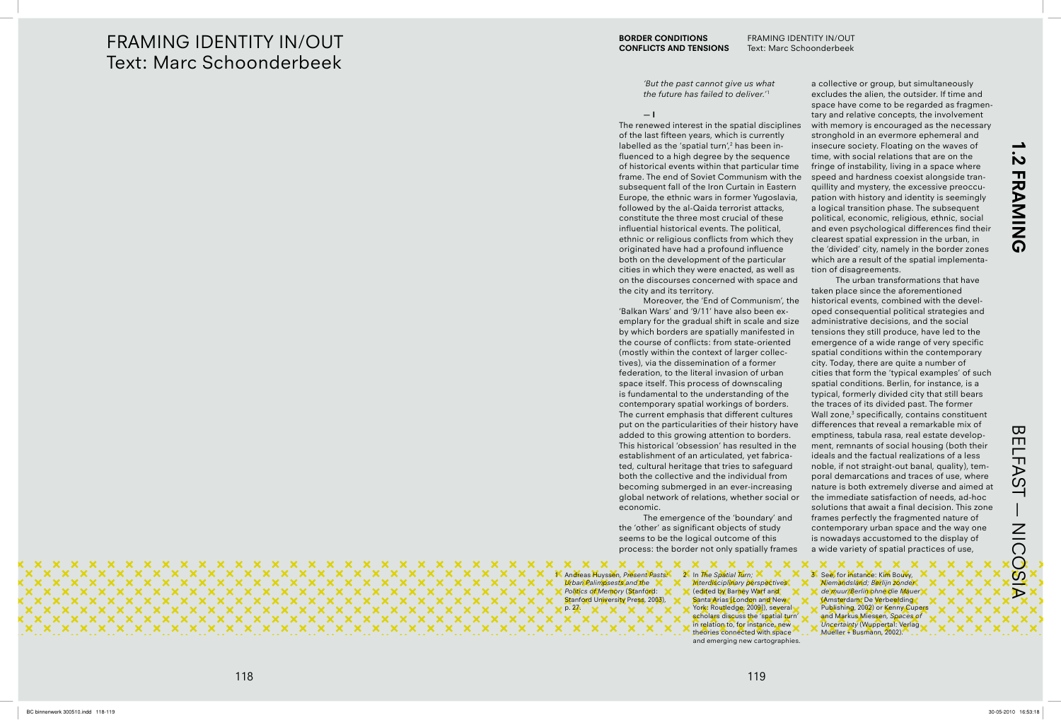### **FRAMING IDENTITY IN/OUT Text: Marc Schoonderbeek**

'But the past cannot give us what the future has failed to deliver.<sup>11</sup>

 $-1$ 

The renewed interest in the spatial disciplines of the last fifteen years, which is currently labelled as the 'spatial turn',<sup>2</sup> has been influenced to a high degree by the sequence of historical events within that particular time frame. The end of Soviet Communism with the subsequent fall of the Iron Curtain in Eastern Europe, the ethnic wars in former Yugoslavia, followed by the al-Qaida terrorist attacks, constitute the three most crucial of these influential historical events. The political, ethnic or religious conflicts from which they originated have had a profound influence both on the development of the particular cities in which they were enacted, as well as on the discourses concerned with space and the city and its territory.

Moreover, the 'End of Communism', the 'Balkan Wars' and '9/11' have also been exemplary for the gradual shift in scale and size by which borders are spatially manifested in the course of conflicts: from state-oriented (mostly within the context of larger collectives), via the dissemination of a former federation, to the literal invasion of urban space itself. This process of downscaling is fundamental to the understanding of the contemporary spatial workings of borders. The current emphasis that different cultures put on the particularities of their history have added to this growing attention to borders. This historical 'obsession' has resulted in the establishment of an articulated, yet fabricated, cultural heritage that tries to safeguard both the collective and the individual from becoming submerged in an ever-increasing global network of relations, whether social or economic.

The emergence of the 'boundary' and the 'other' as significant objects of study seems to be the logical outcome of this process: the border not only spatially frames

K Andreas Huyssen, Present Pasts. **Urban Palimpsests and the X** Politics of Memory (Stanford: Stanford University Press, 2003),  $p.27$  $\boldsymbol{\times}$ 

 $\mathbf{x} \times$ 

X X X X X

 $\mathbf{x}$ 

 $X$   $X$ 

2. In The Spatial Turn;  $\times$ Interdisciplinary perspectives (edited by Barney Warf and Santa Arias London and New York: Routledge, 2009]), several scholars discuss the 'spatial turn' in relation to, for instance, new theories connected with space and emerging new cartographies.

 $\mathbf{x}$ 

 $\mathbf{x}$ 

 $X$   $X$ 

 $\mathbf{x}$ 

 $\mathbf{x}$  $\mathbf{x}$   $\mathbf{x}$ 

 $\mathbf{x}$  $\mathbf{x}$ 

**x x x x x x x x x x** 

 $\mathbf{x}$ 

 $\mathbf{x}$ 

 $\mathbf{x}$ 

 $X$   $X$ 

 $\mathbf{x}$ 

 $\mathbf{x}$ 

 $\mathbf x$ 

 $\mathbf x$ 

 $\mathbf{x}$ 

 $\mathbf x$ 

 $\mathbf x$ 

 $\mathbf{x}$ 

 $\mathbf{x}$ 

 $X \times$ 

 $X$   $X$ 

 $\mathbf{x}$ 

 $X$   $X$ 

**x x x x x x x x x x x** 

 $\mathbf{x}$ 

 $\mathbf{x}$ 

 $X$   $X$ 

 $\mathbf{x}$ 

 $\mathbf{x}$ 

 $\mathbf x$ 

 $\mathbf{x}$ 

 $\mathbf{x}$ 

 $\mathbf{x}$ 

 $\mathbf{x}$ 

 $\mathbf{x}$  $\mathbf{x}$ 

 $\mathbf{x}$  $\mathbf{x}$ 

a collective or group, but simultaneously excludes the alien, the outsider. If time and space have come to be regarded as fragmentary and relative concepts, the involvement with memory is encouraged as the necessary stronghold in an evermore ephemeral and insecure society. Floating on the waves of time, with social relations that are on the fringe of instability, living in a space where speed and hardness coexist alongside tranquillity and mystery, the excessive preoccupation with history and identity is seemingly a logical transition phase. The subsequent political, economic, religious, ethnic, social and even psychological differences find their clearest spatial expression in the urban, in the 'divided' city, namely in the border zones which are a result of the spatial implementation of disagreements.

The urban transformations that have taken place since the aforementioned historical events, combined with the developed consequential political strategies and administrative decisions, and the social tensions they still produce, have led to the emergence of a wide range of very specific spatial conditions within the contemporary city. Today, there are quite a number of cities that form the 'typical examples' of such spatial conditions. Berlin, for instance, is a typical, formerly divided city that still bears the traces of its divided past. The former Wall zone,<sup>3</sup> specifically, contains constituent differences that reveal a remarkable mix of emptiness, tabula rasa, real estate development, remnants of social housing (both their ideals and the factual realizations of a less noble, if not straight-out banal, quality), temporal demarcations and traces of use, where nature is both extremely diverse and aimed at the immediate satisfaction of needs, ad-hoc solutions that await a final decision. This zone frames perfectly the fragmented nature of contemporary urban space and the way one is nowadays accustomed to the display of a wide variety of spatial practices of use,

<u>in</u> **FRAMING** 

**BELFAST** NICOSIA

3 See, for instance: Kim Bouwy, Niemandsland; Berlijn zonder de muur/Berlin ohne die Mauer **KAmsterdam: De Verbeelding** Publishing, 2002) or Kenny Cupers and Markus Miessen, Spaces of Uncertainty (Wuppertal: Verlag Mueller + Busmann, 2002).

X.

 $\mathbf{x}$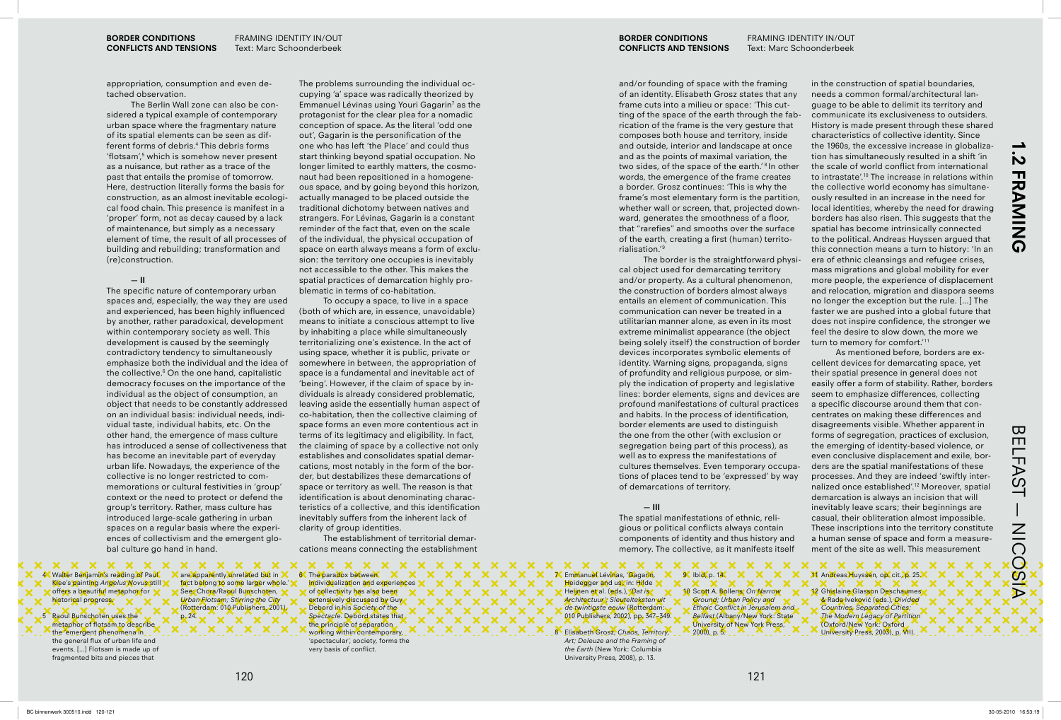**BORDER CONDITIONS CONFLICTS AND TENSIONS** 

appropriation, consumption and even detached observation.

The Berlin Wall zone can also be considered a typical example of contemporary urban space where the fragmentary nature of its spatial elements can be seen as different forms of debris.<sup>4</sup> This debris forms 'flotsam',<sup>5</sup> which is somehow never present as a nuisance, but rather as a trace of the past that entails the promise of tomorrow. Here, destruction literally forms the basis for construction, as an almost inevitable ecological food chain. This presence is manifest in a 'proper' form, not as decay caused by a lack of maintenance, but simply as a necessary element of time, the result of all processes of building and rebuilding; transformation and (re)construction.

### $-$ II

The specific nature of contemporary urban spaces and, especially, the way they are used and experienced, has been highly influenced by another, rather paradoxical, development within contemporary society as well. This development is caused by the seemingly contradictory tendency to simultaneously emphasize both the individual and the idea of the collective.<sup>6</sup> On the one hand, capitalistic democracy focuses on the importance of the individual as the object of consumption, an object that needs to be constantly addressed on an individual basis: individual needs, individual taste, individual habits, etc. On the other hand, the emergence of mass culture has introduced a sense of collectiveness that has become an inevitable part of everyday urban life. Nowadays, the experience of the collective is no longer restricted to commemorations or cultural festivities in 'group' context or the need to protect or defend the group's territory. Rather, mass culture has introduced large-scale gathering in urban spaces on a regular basis where the experiences of collectivism and the emergent global culture go hand in hand.

X.

The problems surrounding the individual occupying 'a' space was radically theorized by Emmanuel Lévinas using Youri Gagarin<sup>7</sup> as the protagonist for the clear plea for a nomadic conception of space. As the literal 'odd one out', Gagarin is the personification of the one who has left 'the Place' and could thus start thinking beyond spatial occupation. No longer limited to earthly matters, the cosmonaut had been repositioned in a homogeneous space, and by going beyond this horizon, actually managed to be placed outside the traditional dichotomy between natives and strangers. For Lévinas, Gagarin is a constant reminder of the fact that, even on the scale of the individual, the physical occupation of space on earth always means a form of exclusion: the territory one occupies is inevitably not accessible to the other. This makes the spatial practices of demarcation highly problematic in terms of co-habitation.

To occupy a space, to live in a space (both of which are, in essence, unavoidable) means to initiate a conscious attempt to live by inhabiting a place while simultaneously territorializing one's existence. In the act of using space, whether it is public, private or somewhere in between, the appropriation of space is a fundamental and inevitable act of 'being'. However, if the claim of space by individuals is already considered problematic, leaving aside the essentially human aspect of co-habitation, then the collective claiming of space forms an even more contentious act in terms of its legitimacy and eligibility. In fact, the claiming of space by a collective not only establishes and consolidates spatial demarcations, most notably in the form of the border, but destabilizes these demarcations of space or territory as well. The reason is that identification is about denominating characteristics of a collective, and this identification inevitably suffers from the inherent lack of clarity of group identities.

The establishment of territorial demarcations means connecting the establishment

 $\mathbf{x}$ 

EX .

 $\boldsymbol{\times}$ 

 $\mathbf{x}$ 

 $\mathbf x$  $\mathbf{\times}$ 

**x x x x x x** 

**XXXX** 

|x |x |x |x<br>< x x x >

 $\mathbf x$ 

 $\mathbf x$ 

×x

 $\mathbf{x}$ 

 $\mathbf x$ 

 $\boldsymbol{\mathsf{x}}$ 

 $\bm{\times}$ 

 $\mathbf{x}$  $\boldsymbol{\mathsf{x}}$ 

 $X$   $X$   $X$   $X$ 

of collectivity has also been

Debord in his Society of the

extensively discussed by Guy

Spectacle. Debord states that

individualization and experiences

**6** The paradox between

x x x x x x x **4** Walter Benjamin's reading of Paul Klee's painting Angelus Novus still offers a beautiful metaphor for historical progress.

Raoul Bunschoten uses the metaphor of flotsam to describe the 'emergent phenomena in the general flux of urban life and events. [...] Flotsam is made up of fragmented bits and pieces that

Urban Flotsam; Stirring the City (Rotterdam: 010 Publishers, 2001),  $p.24.$ 

120

X X X X X

are apparently unrelated but in X

fact belong to some larger whole.

See: Chora/Raoul Bunschoten,

the principle of separation working within contemporary, 'spectacular', society, forms the very basis of conflict.

 $\mathbf{x}$ 

X.

**BORDER CONDITIONS CONFLICTS AND TENSIONS** 

and/or founding of space with the framing of an identity. Elisabeth Grosz states that any frame cuts into a milieu or space: 'This cutting of the space of the earth through the fabrication of the frame is the very gesture that composes both house and territory, inside and outside, interior and landscape at once and as the points of maximal variation, the two sides, of the space of the earth.'<sup>8</sup> In other words, the emergence of the frame creates a border. Grosz continues: 'This is why the frame's most elementary form is the partition, whether wall or screen, that, projected downward, generates the smoothness of a floor, that "rarefies" and smooths over the surface of the earth, creating a first (human) territorialisation.'9

The border is the straightforward physical object used for demarcating territory and/or property. As a cultural phenomenon, the construction of borders almost always entails an element of communication. This communication can never be treated in a utilitarian manner alone, as even in its most extreme minimalist appearance (the object being solely itself) the construction of border devices incorporates symbolic elements of identity. Warning signs, propaganda, signs of profundity and religious purpose, or simply the indication of property and legislative lines: border elements, signs and devices are profound manifestations of cultural practices and habits. In the process of identification, border elements are used to distinguish the one from the other (with exclusion or segregation being part of this process), as well as to express the manifestations of cultures themselves. Even temporary occupations of places tend to be 'expressed' by way of demarcations of territory.

### $-III$

The spatial manifestations of ethnic, religious or political conflicts always contain components of identity and thus history and memory. The collective, as it manifests itself

 $X \times$ 

**X X X X X X**  $\mathbf x$ X Emmanuel Lévinas, 'Gagarin, Heidegger and us in: Hilde Heijnen et al. (eds.), Dat is Architectuur'; Sleutelteksten uit de twintigste eeuw (Rotterdam: 010 Publishers, 2002), pp. 347-349.

> Elisabeth Grosz, Chaos, Territory, Art: Deleuze and the Framing of the Earth (New York: Columbia University Press, 2008), p. 13.

 $96$  Ibid, p.  $145$ 10 Scott A. Bollens, On Narrow Ground: Urban Policy and Ethnic Conflict in Jerusalem and Belfast (Albany/New York: State University of New York Press,  $(2000)$ , p. 5.

 $\mathbf{x}$ 

**X** 

in the construction of spatial boundaries, needs a common formal/architectural language to be able to delimit its territory and communicate its exclusiveness to outsiders. History is made present through these shared characteristics of collective identity. Since the 1960s, the excessive increase in globalization has simultaneously resulted in a shift 'in the scale of world conflict from international to intrastate'.<sup>10</sup> The increase in relations within the collective world economy has simultaneously resulted in an increase in the need for local identities, whereby the need for drawing borders has also risen. This suggests that the spatial has become intrinsically connected to the political. Andreas Huyssen argued that this connection means a turn to history: 'In an era of ethnic cleansings and refugee crises, mass migrations and global mobility for ever more people, the experience of displacement and relocation, migration and diaspora seems no longer the exception but the rule. [...] The faster we are pushed into a global future that does not inspire confidence, the stronger we feel the desire to slow down, the more we turn to memory for comfort.'<sup>11</sup>

As mentioned before, borders are excellent devices for demarcating space, yet their spatial presence in general does not easily offer a form of stability. Rather, borders seem to emphasize differences, collecting a specific discourse around them that concentrates on making these differences and disagreements visible. Whether apparent in forms of segregation, practices of exclusion, the emerging of identity-based violence, or even conclusive displacement and exile, borders are the spatial manifestations of these processes. And they are indeed 'swiftly internalized once established'.<sup>12</sup> Moreover, spatial demarcation is always an incision that will inevitably leave scars; their beginnings are casual, their obliteration almost impossible. These inscriptions into the territory constitute a human sense of space and form a measurement of the site as well. This measurement

**X** 

 $\mathbf{x}$ 

 $X \times X$ 

 $\mathbf{x}$ 

 $\mathbf{x}$ 

 $\boldsymbol{\times}$ 

# <u>in</u> **FRAMING**

**BELFAST** NICOSIA

11 Andreas Huyssen, op. cit., p. 25X 12 Ghislaine Glasson Deschaumes & Rada Iveković (eds.), Divided Countries, Separated Cities; The Modern Legacy of Partition (Oxford/New York: Oxford University Press, 2003), p. VIII.

 $X \times X$ 

 $\mathbf x$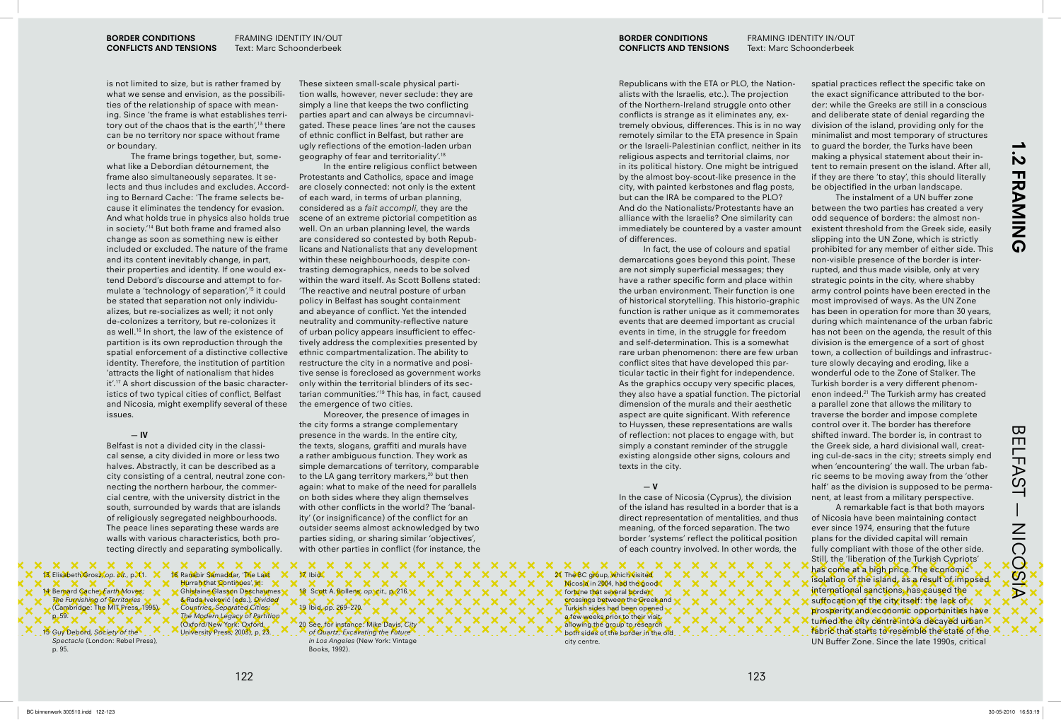**BORDER CONDITIONS CONFLICTS AND TENSIONS**

# **1.2 FRAMING .2 FRAMING**

**BELFAST** BELFAST — NICOSIA NICOSIA

### **BORDER CONDITIONS CONFLICTS AND TENSIONS**

Republicans with the ETA or PLO, the Nationalists with the Israelis, etc.). The projection of the Northern-Ireland struggle onto other conflicts is strange as it eliminates any, ex-

 $\mathbf{x}$  $\mathbf{x}$  $\mathbf x$ **x x x x x x** 

spatial practices reflect the specific take on the exact significance attributed to the border: while the Greeks are still in a conscious and deliberate state of denial regarding the division of the island, providing only for the minimalist and most temporary of structures to guard the border, the Turks have been making a physical statement about their intent to remain present on the island. After all, if they are there 'to stay', this should literally be objectified in the urban landscape.

is not limited to size, but is rather framed by what we sense and envision, as the possibilities of the relationship of space with meaning. Since 'the frame is what establishes territory out of the chaos that is the earth',<sup>13</sup> there can be no territory nor space without frame or boundary.

Belfast is not a divided city in the classical sense, a city divided in more or less two halves. Abstractly, it can be described as a city consisting of a central, neutral zone connecting the northern harbour, the commercial centre, with the university district in the south, surrounded by wards that are islands of religiously segregated neighbourhoods. The peace lines separating these wards are walls with various characteristics, both protecting directly and separating symbolically.

 $\mathbf{x}$ 

 $\mathbf{X}$ 

X.

x x x x x  $\mathbf{x} \times$ 13 Elisabeth Grosz, *op. cit.*, pX1. 14 Bernard Cache, *Earth Moves; The Furnishing of Territories* (Cambridge: The MIT Press, 1995), p. 59.

The frame brings together, but, somewhat like a Debordian détournement, the frame also simultaneously separates. It selects and thus includes and excludes. According to Bernard Cache: 'The frame selects because it eliminates the tendency for evasion. And what holds true in physics also holds true in society.'<sup>14</sup> But both frame and framed also change as soon as something new is either included or excluded. The nature of the frame and its content inevitably change, in part, their properties and identity. If one would extend Debord's discourse and attempt to formulate a 'technology of separation', $15$  it could be stated that separation not only individualizes, but re-socializes as well; it not only de-colonizes a territory, but re-colonizes it as well.<sup>16</sup> In short, the law of the existence of partition is its own reproduction through the spatial enforcement of a distinctive collective identity. Therefore, the institution of partition 'attracts the light of nationalism that hides  $it'.<sup>17</sup>$  A short discussion of the basic characteristics of two typical cities of conflict, Belfast and Nicosia, might exemplify several of these issues.

### **— IV**

In the entire religious conflict between Protestants and Catholics, space and image are closely connected: not only is the extent of each ward, in terms of urban planning, considered as a *fait accompli*, they are the scene of an extreme pictorial competition as well. On an urban planning level, the wards are considered so contested by both Republicans and Nationalists that any development within these neighbourhoods, despite contrasting demographics, needs to be solved within the ward itself. As Scott Bollens stated: The reactive and neutral posture of urban policy in Belfast has sought containment and abeyance of conflict. Yet the intended neutrality and community-reflective nature of urban policy appears insufficient to effectively address the complexities presented by ethnic compartmentalization. The ability to restructure the city in a normative and positive sense is foreclosed as government works only within the territorial blinders of its sectarian communities.'<sup>19</sup> This has, in fact, caused the emergence of two cities.

Moreover, the presence of images in the city forms a strange complementary presence in the wards. In the entire city, the texts, slogans, graffiti and murals have a rather ambiguous function. They work as simple demarcations of territory, comparable to the LA gang territory markers, $^{20}$  but then again: what to make of the need for parallels on both sides where they align themselves with other conflicts in the world? The 'banality' (or insignificance) of the conflict for an outsider seems almost acknowledged by two parties siding, or sharing similar 'objectives', with other parties in conflict (for instance, the

**x x x x x x x x** 

 $\mathbf x$ 

 $X \times$ 

`x``x``x``x`<br>< x x x x x

x x x x x x

 $\mathbf{x}$ 

 $\mathbf x$ 

 $\mathbf{x}$ 

 $\begin{pmatrix} x \\ x \end{pmatrix}$ 

 $\mathbf{x}$ 

 $\bm{\times}$ 

 $\boldsymbol{\mathsf{x}}$ 

18 Scott A. Bollens, op. cit., p. 216. X.

17 Ibid.

19 Ibid, pp. 269–270.

tremely obvious, differences. This is in no way remotely similar to the ETA presence in Spain or the Israeli-Palestinian conflict, neither in its religious aspects and territorial claims, nor in its political history. One might be intrigued

by the almost boy-scout-like presence in the city, with painted kerbstones and flag posts, but can the IRA be compared to the PLO? And do the Nationalists/Protestants have an alliance with the Israelis? One similarity can immediately be countered by a vaster amount of differences.

In fact, the use of colours and spatial demarcations goes beyond this point. These are not simply superficial messages; they have a rather specific form and place within the urban environment. Their function is one of historical storytelling. This historio-graphic function is rather unique as it commemorates events that are deemed important as crucial events in time, in the struggle for freedom and self-determination. This is a somewhat rare urban phenomenon: there are few urban conflict sites that have developed this particular tactic in their fight for independence. As the graphics occupy very specific places, they also have a spatial function. The pictorial dimension of the murals and their aesthetic aspect are quite significant. With reference to Huyssen, these representations are walls of reflection: not places to engage with, but simply a constant reminder of the struggle existing alongside other signs, colours and texts in the city.

In the case of Nicosia (Cyprus), the division of the island has resulted in a border that is a direct representation of mentalities, and thus meaning, of the forced separation. The two border 'systems' reflect the political position of each country involved. In other words, the

 $\mathbf{x}$ 

 $\mathbf{x}$ 

The instalment of a UN buffer zone between the two parties has created a very odd sequence of borders: the almost nonexistent threshold from the Greek side, easily slipping into the UN Zone, which is strictly prohibited for any member of either side. This non-visible presence of the border is interrupted, and thus made visible, only at very strategic points in the city, where shabby army control points have been erected in the most improvised of ways. As the UN Zone has been in operation for more than 30 years, during which maintenance of the urban fabric has not been on the agenda, the result of this division is the emergence of a sort of ghost town, a collection of buildings and infrastructure slowly decaying and eroding, like a wonderful ode to the Zone of Stalker. The Turkish border is a very different phenomenon indeed.21 The Turkish army has created a parallel zone that allows the military to traverse the border and impose complete control over it. The border has therefore shifted inward. The border is, in contrast to the Greek side, a hard divisional wall, creating cul-de-sacs in the city; streets simply end when 'encountering' the wall. The urban fabric seems to be moving away from the 'other half' as the division is supposed to be permanent, at least from a military perspective.

 $\mathbf{x} \times$  $X$   $X$   $X$ X X X 21 The BC group, which visited Nicosia in 2004, had the good fortune that several border. crossings between the Greek and Turkish sides had been opened a few weeks prior to their visit. allowing the group to research. both sides of the border in the old city centre.

15 Guy Debord, *Society of the Spectacle* (London: Rebel Press), p. 95.

16 Ranabir Samaddar, 'The Last Hurrah that Continues', in: Ghislaine Glasson Deschaumes & Rada Iveković (eds.), *Divided Countries, Separated Cities; The Modern Legacy of Partition* (Oxford/New York: Oxford University Press, 2003), p. 23.

X X X

These sixteen small-scale physical partition walls, however, never seclude: they are simply a line that keeps the two conflicting parties apart and can always be circumnavigated. These peace lines 'are not the causes of ethnic conflict in Belfast, but rather are ugly reflections of the emotion-laden urban geography of fear and territoriality'.<sup>18</sup>

### **— V**

A remarkable fact is that both mayors of Nicosia have been maintaining contact ever since 1974, ensuring that the future plans for the divided capital will remain fully compliant with those of the other side. Still, the 'liberation of the Turkish Cypriots' has come at a high price. The economic isolation of the island, as a result of imposed international sanctions, has caused the suffocation of the city itself: the lack of prosperity and economic opportunities have turned the city centre into a decayed urban fabric that starts to resemble the state of the UN Buffer Zone. Since the late 1990s, critical

20 See, for instance: Mike Davis, *City of Quartz; Excavating the Future in Los Angeles* (New York: Vintage Books, 1992).

 $\mathbf{x} \mathbf{x}$ 

 $X$   $X$   $X$ 

|x |x |x |x |x<br>| x x x x x >